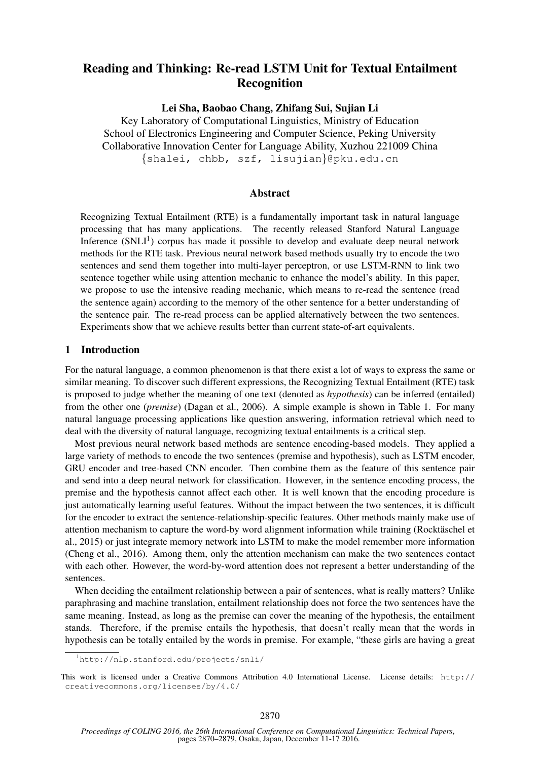# Reading and Thinking: Re-read LSTM Unit for Textual Entailment Recognition

Lei Sha, Baobao Chang, Zhifang Sui, Sujian Li

Key Laboratory of Computational Linguistics, Ministry of Education School of Electronics Engineering and Computer Science, Peking University Collaborative Innovation Center for Language Ability, Xuzhou 221009 China {shalei, chbb, szf, lisujian}@pku.edu.cn

# Abstract

Recognizing Textual Entailment (RTE) is a fundamentally important task in natural language processing that has many applications. The recently released Stanford Natural Language Inference  $(SNL<sup>1</sup>)$  corpus has made it possible to develop and evaluate deep neural network methods for the RTE task. Previous neural network based methods usually try to encode the two sentences and send them together into multi-layer perceptron, or use LSTM-RNN to link two sentence together while using attention mechanic to enhance the model's ability. In this paper, we propose to use the intensive reading mechanic, which means to re-read the sentence (read the sentence again) according to the memory of the other sentence for a better understanding of the sentence pair. The re-read process can be applied alternatively between the two sentences. Experiments show that we achieve results better than current state-of-art equivalents.

# 1 Introduction

For the natural language, a common phenomenon is that there exist a lot of ways to express the same or similar meaning. To discover such different expressions, the Recognizing Textual Entailment (RTE) task is proposed to judge whether the meaning of one text (denoted as *hypothesis*) can be inferred (entailed) from the other one (*premise*) (Dagan et al., 2006). A simple example is shown in Table 1. For many natural language processing applications like question answering, information retrieval which need to deal with the diversity of natural language, recognizing textual entailments is a critical step.

Most previous neural network based methods are sentence encoding-based models. They applied a large variety of methods to encode the two sentences (premise and hypothesis), such as LSTM encoder, GRU encoder and tree-based CNN encoder. Then combine them as the feature of this sentence pair and send into a deep neural network for classification. However, in the sentence encoding process, the premise and the hypothesis cannot affect each other. It is well known that the encoding procedure is just automatically learning useful features. Without the impact between the two sentences, it is difficult for the encoder to extract the sentence-relationship-specific features. Other methods mainly make use of attention mechanism to capture the word-by word alignment information while training (Rocktäschel et al., 2015) or just integrate memory network into LSTM to make the model remember more information (Cheng et al., 2016). Among them, only the attention mechanism can make the two sentences contact with each other. However, the word-by-word attention does not represent a better understanding of the sentences.

When deciding the entailment relationship between a pair of sentences, what is really matters? Unlike paraphrasing and machine translation, entailment relationship does not force the two sentences have the same meaning. Instead, as long as the premise can cover the meaning of the hypothesis, the entailment stands. Therefore, if the premise entails the hypothesis, that doesn't really mean that the words in hypothesis can be totally entailed by the words in premise. For example, "these girls are having a great

<sup>1</sup>http://nlp.stanford.edu/projects/snli/

This work is licensed under a Creative Commons Attribution 4.0 International License. License details: http:// creativecommons.org/licenses/by/4.0/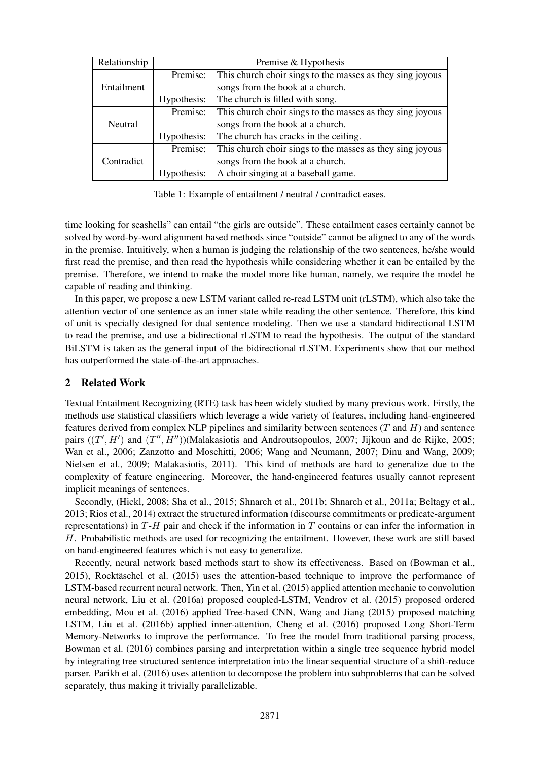| Relationship | Premise & Hypothesis |                                                           |  |
|--------------|----------------------|-----------------------------------------------------------|--|
| Entailment   | Premise:             | This church choir sings to the masses as they sing joyous |  |
|              |                      | songs from the book at a church.                          |  |
|              | Hypothesis:          | The church is filled with song.                           |  |
| Neutral      | Premise:             | This church choir sings to the masses as they sing joyous |  |
|              |                      | songs from the book at a church.                          |  |
|              | Hypothesis:          | The church has cracks in the ceiling.                     |  |
| Contradict   | Premise:             | This church choir sings to the masses as they sing joyous |  |
|              |                      | songs from the book at a church.                          |  |
|              | Hypothesis:          | A choir singing at a baseball game.                       |  |

Table 1: Example of entailment / neutral / contradict eases.

time looking for seashells" can entail "the girls are outside". These entailment cases certainly cannot be solved by word-by-word alignment based methods since "outside" cannot be aligned to any of the words in the premise. Intuitively, when a human is judging the relationship of the two sentences, he/she would first read the premise, and then read the hypothesis while considering whether it can be entailed by the premise. Therefore, we intend to make the model more like human, namely, we require the model be capable of reading and thinking.

In this paper, we propose a new LSTM variant called re-read LSTM unit (rLSTM), which also take the attention vector of one sentence as an inner state while reading the other sentence. Therefore, this kind of unit is specially designed for dual sentence modeling. Then we use a standard bidirectional LSTM to read the premise, and use a bidirectional rLSTM to read the hypothesis. The output of the standard BiLSTM is taken as the general input of the bidirectional rLSTM. Experiments show that our method has outperformed the state-of-the-art approaches.

# 2 Related Work

Textual Entailment Recognizing (RTE) task has been widely studied by many previous work. Firstly, the methods use statistical classifiers which leverage a wide variety of features, including hand-engineered features derived from complex NLP pipelines and similarity between sentences  $(T \text{ and } H)$  and sentence pairs  $((T', H')$  and  $(T'', H''))$ (Malakasiotis and Androutsopoulos, 2007; Jijkoun and de Rijke, 2005; Wan et al., 2006; Zanzotto and Moschitti, 2006; Wang and Neumann, 2007; Dinu and Wang, 2009; Nielsen et al., 2009; Malakasiotis, 2011). This kind of methods are hard to generalize due to the complexity of feature engineering. Moreover, the hand-engineered features usually cannot represent implicit meanings of sentences.

Secondly, (Hickl, 2008; Sha et al., 2015; Shnarch et al., 2011b; Shnarch et al., 2011a; Beltagy et al., 2013; Rios et al., 2014) extract the structured information (discourse commitments or predicate-argument representations) in  $T-H$  pair and check if the information in T contains or can infer the information in H. Probabilistic methods are used for recognizing the entailment. However, these work are still based on hand-engineered features which is not easy to generalize.

Recently, neural network based methods start to show its effectiveness. Based on (Bowman et al.,  $2015$ ), Rocktäschel et al.  $(2015)$  uses the attention-based technique to improve the performance of LSTM-based recurrent neural network. Then, Yin et al. (2015) applied attention mechanic to convolution neural network, Liu et al. (2016a) proposed coupled-LSTM, Vendrov et al. (2015) proposed ordered embedding, Mou et al. (2016) applied Tree-based CNN, Wang and Jiang (2015) proposed matching LSTM, Liu et al. (2016b) applied inner-attention, Cheng et al. (2016) proposed Long Short-Term Memory-Networks to improve the performance. To free the model from traditional parsing process, Bowman et al. (2016) combines parsing and interpretation within a single tree sequence hybrid model by integrating tree structured sentence interpretation into the linear sequential structure of a shift-reduce parser. Parikh et al. (2016) uses attention to decompose the problem into subproblems that can be solved separately, thus making it trivially parallelizable.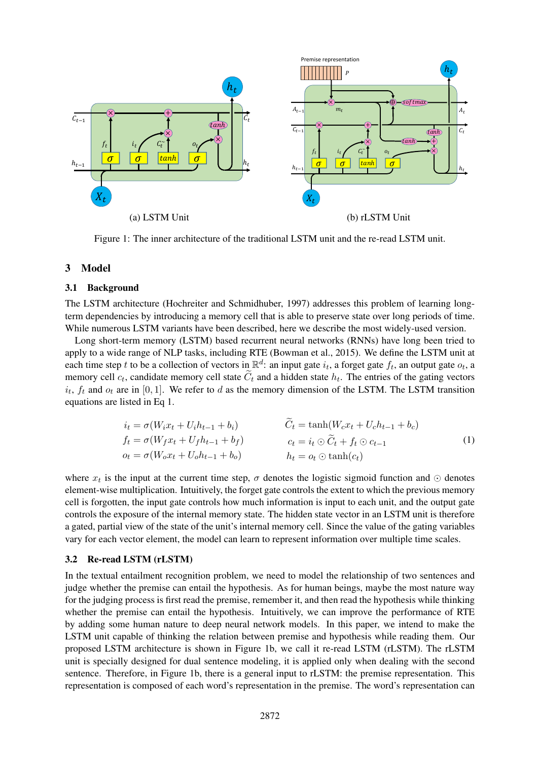

Figure 1: The inner architecture of the traditional LSTM unit and the re-read LSTM unit.

# 3 Model

#### 3.1 Background

The LSTM architecture (Hochreiter and Schmidhuber, 1997) addresses this problem of learning longterm dependencies by introducing a memory cell that is able to preserve state over long periods of time. While numerous LSTM variants have been described, here we describe the most widely-used version.

Long short-term memory (LSTM) based recurrent neural networks (RNNs) have long been tried to apply to a wide range of NLP tasks, including RTE (Bowman et al., 2015). We define the LSTM unit at each time step t to be a collection of vectors in  $\mathbb{R}^d$ : an input gate  $i_t$ , a forget gate  $f_t$ , an output gate  $o_t$ , a memory cell  $c_t$ , candidate memory cell state  $C_t$  and a hidden state  $h_t$ . The entries of the gating vectors  $i_t$ ,  $f_t$  and  $o_t$  are in [0, 1]. We refer to d as the memory dimension of the LSTM. The LSTM transition equations are listed in Eq 1.

$$
i_t = \sigma(W_i x_t + U_i h_{t-1} + b_i)
$$
  
\n
$$
f_t = \sigma(W_f x_t + U_f h_{t-1} + b_f)
$$
  
\n
$$
o_t = \sigma(W_o x_t + U_o h_{t-1} + b_o)
$$
  
\n
$$
i_t = \sigma(W_o x_t + b_i)
$$
  
\n
$$
i_t = o_t \odot \tanh(c_t)
$$
  
\n
$$
i_t = o_t \odot \tanh(c_t)
$$
  
\n
$$
i_t = o_t \odot \tanh(c_t)
$$

where  $x_t$  is the input at the current time step,  $\sigma$  denotes the logistic sigmoid function and  $\odot$  denotes element-wise multiplication. Intuitively, the forget gate controls the extent to which the previous memory cell is forgotten, the input gate controls how much information is input to each unit, and the output gate controls the exposure of the internal memory state. The hidden state vector in an LSTM unit is therefore a gated, partial view of the state of the unit's internal memory cell. Since the value of the gating variables vary for each vector element, the model can learn to represent information over multiple time scales.

#### 3.2 Re-read LSTM (rLSTM)

In the textual entailment recognition problem, we need to model the relationship of two sentences and judge whether the premise can entail the hypothesis. As for human beings, maybe the most nature way for the judging process is first read the premise, remember it, and then read the hypothesis while thinking whether the premise can entail the hypothesis. Intuitively, we can improve the performance of RTE by adding some human nature to deep neural network models. In this paper, we intend to make the LSTM unit capable of thinking the relation between premise and hypothesis while reading them. Our proposed LSTM architecture is shown in Figure 1b, we call it re-read LSTM (rLSTM). The rLSTM unit is specially designed for dual sentence modeling, it is applied only when dealing with the second sentence. Therefore, in Figure 1b, there is a general input to rLSTM: the premise representation. This representation is composed of each word's representation in the premise. The word's representation can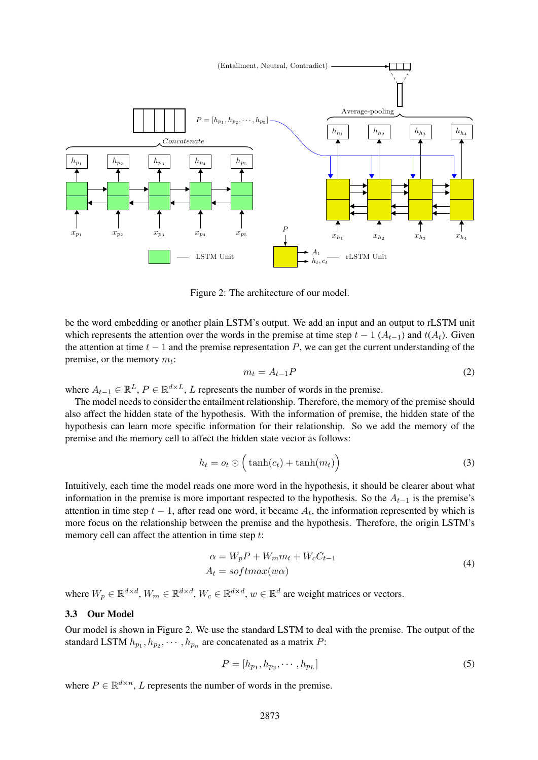

Figure 2: The architecture of our model.

be the word embedding or another plain LSTM's output. We add an input and an output to rLSTM unit which represents the attention over the words in the premise at time step  $t - 1$  ( $A_{t-1}$ ) and  $t(A_t)$ . Given the attention at time  $t - 1$  and the premise representation P, we can get the current understanding of the premise, or the memory  $m_t$ :

$$
m_t = A_{t-1}P \tag{2}
$$

where  $A_{t-1} \in \mathbb{R}^L$ ,  $P \in \mathbb{R}^{d \times L}$ , L represents the number of words in the premise.

The model needs to consider the entailment relationship. Therefore, the memory of the premise should also affect the hidden state of the hypothesis. With the information of premise, the hidden state of the hypothesis can learn more specific information for their relationship. So we add the memory of the premise and the memory cell to affect the hidden state vector as follows:

$$
h_t = o_t \odot \left(\tanh(c_t) + \tanh(m_t)\right) \tag{3}
$$

memory cell can affect the attention in time step t: Intuitively, each time the model reads one more word in the hypothesis, it should be clearer about what information in the premise is more important respected to the hypothesis. So the  $A_{t-1}$  is the premise's attention in time step  $t - 1$ , after read one word, it became  $A_t$ , the information represented by which is more focus on the relationship between the premise and the hypothesis. Therefore, the origin LSTM's

$$
\alpha = W_p P + W_m m_t + W_c C_{t-1}
$$
  
\n
$$
A_t = softmax(w\alpha)
$$
\n(4)

where  $W_p \in \mathbb{R}^{d \times d}$ ,  $W_m \in \mathbb{R}^{d \times d}$ ,  $W_c \in \mathbb{R}^{d \times d}$ ,  $w \in \mathbb{R}^d$  are weight matrices or vectors.

## 3.3 Our Model

Our model is shown in Figure 2. We use the standard LSTM to deal with the premise. The output of the standard LSTM  $h_{p_1}, h_{p_2}, \cdots, h_{p_n}$  are concatenated as a matrix P:

$$
P = [h_{p_1}, h_{p_2}, \cdots, h_{p_L}]
$$
\n
$$
(5)
$$

where  $P \in \mathbb{R}^{d \times n}$ , L represents the number of words in the premise.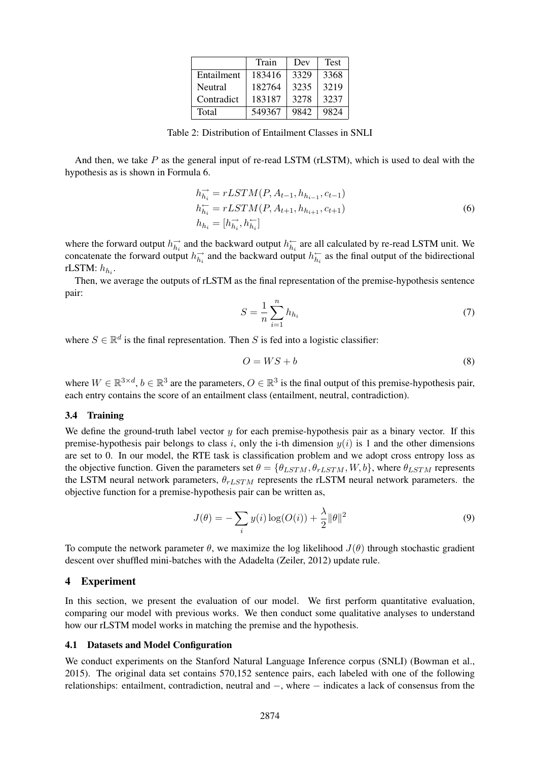|            | Train  | Dev  | <b>Test</b> |
|------------|--------|------|-------------|
| Entailment | 183416 | 3329 | 3368        |
| Neutral    | 182764 | 3235 | 3219        |
| Contradict | 183187 | 3278 | 3237        |
| Total      | 549367 | 9842 | 9824        |

Table 2: Distribution of Entailment Classes in SNLI

And then, we take  $P$  as the general input of re-read LSTM (rLSTM), which is used to deal with the hypothesis as is shown in Formula 6.

$$
h_{h_i}^{\rightarrow} = rLSTM(P, A_{t-1}, h_{h_{i-1}}, c_{t-1})
$$
  
\n
$$
h_{h_i}^{\leftarrow} = rLSTM(P, A_{t+1}, h_{h_{i+1}}, c_{t+1})
$$
  
\n
$$
h_{h_i} = [h_{h_i}^{\rightarrow}, h_{h_i}^{\leftarrow}]
$$
\n(6)

where the forward output  $h_{h_i}^{\rightarrow}$  and the backward output  $h_{h_i}^{\leftarrow}$  are all calculated by re-read LSTM unit. We concatenate the forward output  $h_{h_i}^{\rightarrow}$  and the backward output  $h_{h_i}^{\leftarrow}$  as the final output of the bidirectional rLSTM:  $h_{h_i}$ .

Then, we average the outputs of rLSTM as the final representation of the premise-hypothesis sentence pair:

$$
S = \frac{1}{n} \sum_{i=1}^{n} h_{h_i} \tag{7}
$$

where  $S \in \mathbb{R}^d$  is the final representation. Then S is fed into a logistic classifier:

$$
O = WS + b \tag{8}
$$

where  $W \in \mathbb{R}^{3 \times d}$ ,  $b \in \mathbb{R}^3$  are the parameters,  $O \in \mathbb{R}^3$  is the final output of this premise-hypothesis pair, each entry contains the score of an entailment class (entailment, neutral, contradiction).

#### 3.4 Training

We define the ground-truth label vector  $y$  for each premise-hypothesis pair as a binary vector. If this premise-hypothesis pair belongs to class i, only the i-th dimension  $y(i)$  is 1 and the other dimensions are set to 0. In our model, the RTE task is classification problem and we adopt cross entropy loss as the objective function. Given the parameters set  $\theta = {\theta_{LSTM}, \theta_{rLSTM}, W, b}$ , where  $\theta_{LSTM}$  represents the LSTM neural network parameters,  $\theta_{rLSTM}$  represents the rLSTM neural network parameters. the objective function for a premise-hypothesis pair can be written as,

$$
J(\theta) = -\sum_{i} y(i) \log(O(i)) + \frac{\lambda}{2} ||\theta||^2
$$
\n(9)

To compute the network parameter  $\theta$ , we maximize the log likelihood  $J(\theta)$  through stochastic gradient descent over shuffled mini-batches with the Adadelta (Zeiler, 2012) update rule.

## 4 Experiment

In this section, we present the evaluation of our model. We first perform quantitative evaluation, comparing our model with previous works. We then conduct some qualitative analyses to understand how our rLSTM model works in matching the premise and the hypothesis.

#### 4.1 Datasets and Model Configuration

We conduct experiments on the Stanford Natural Language Inference corpus (SNLI) (Bowman et al., 2015). The original data set contains 570,152 sentence pairs, each labeled with one of the following relationships: entailment, contradiction, neutral and −, where − indicates a lack of consensus from the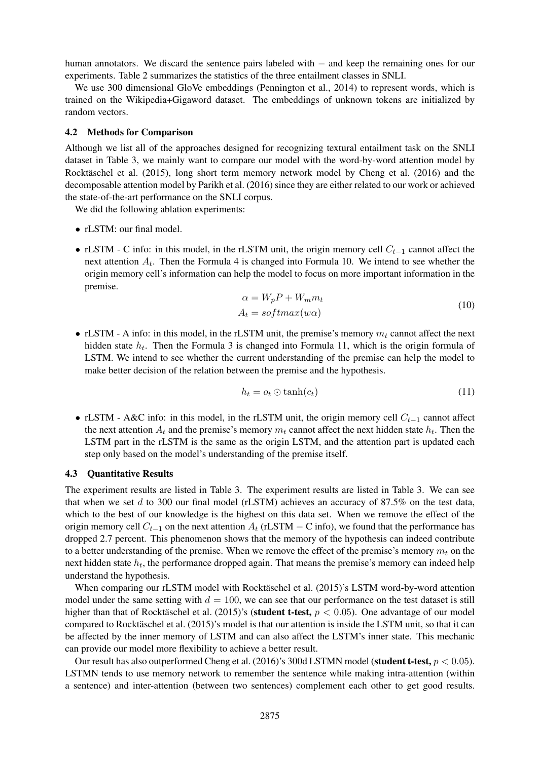human annotators. We discard the sentence pairs labeled with − and keep the remaining ones for our experiments. Table 2 summarizes the statistics of the three entailment classes in SNLI.

We use 300 dimensional GloVe embeddings (Pennington et al., 2014) to represent words, which is trained on the Wikipedia+Gigaword dataset. The embeddings of unknown tokens are initialized by random vectors.

## 4.2 Methods for Comparison

Although we list all of the approaches designed for recognizing textural entailment task on the SNLI dataset in Table 3, we mainly want to compare our model with the word-by-word attention model by Rocktäschel et al. (2015), long short term memory network model by Cheng et al. (2016) and the decomposable attention model by Parikh et al. (2016) since they are either related to our work or achieved the state-of-the-art performance on the SNLI corpus.

We did the following ablation experiments:

- rLSTM: our final model.
- rLSTM C info: in this model, in the rLSTM unit, the origin memory cell  $C_{t-1}$  cannot affect the next attention  $A_t$ . Then the Formula 4 is changed into Formula 10. We intend to see whether the origin memory cell's information can help the model to focus on more important information in the premise.

$$
\alpha = W_p P + W_m m_t
$$
  
\n
$$
A_t = softmax(w\alpha)
$$
\n(10)

• rLSTM - A info: in this model, in the rLSTM unit, the premise's memory  $m_t$  cannot affect the next hidden state  $h_t$ . Then the Formula 3 is changed into Formula 11, which is the origin formula of LSTM. We intend to see whether the current understanding of the premise can help the model to make better decision of the relation between the premise and the hypothesis.

$$
h_t = o_t \odot \tanh(c_t) \tag{11}
$$

• rLSTM - A&C info: in this model, in the rLSTM unit, the origin memory cell  $C_{t-1}$  cannot affect the next attention  $A_t$  and the premise's memory  $m_t$  cannot affect the next hidden state  $h_t$ . Then the LSTM part in the rLSTM is the same as the origin LSTM, and the attention part is updated each step only based on the model's understanding of the premise itself.

#### 4.3 Quantitative Results

The experiment results are listed in Table 3. The experiment results are listed in Table 3. We can see that when we set d to 300 our final model (rLSTM) achieves an accuracy of 87.5% on the test data, which to the best of our knowledge is the highest on this data set. When we remove the effect of the origin memory cell  $C_{t-1}$  on the next attention  $A_t$  (rLSTM − C info), we found that the performance has dropped 2.7 percent. This phenomenon shows that the memory of the hypothesis can indeed contribute to a better understanding of the premise. When we remove the effect of the premise's memory  $m_t$  on the next hidden state  $h_t$ , the performance dropped again. That means the premise's memory can indeed help understand the hypothesis.

When comparing our rLSTM model with Rocktäschel et al. (2015)'s LSTM word-by-word attention model under the same setting with  $d = 100$ , we can see that our performance on the test dataset is still higher than that of Rocktäschel et al. (2015)'s (**student t-test**,  $p < 0.05$ ). One advantage of our model compared to Rocktäschel et al. (2015)'s model is that our attention is inside the LSTM unit, so that it can be affected by the inner memory of LSTM and can also affect the LSTM's inner state. This mechanic can provide our model more flexibility to achieve a better result.

Our result has also outperformed Cheng et al. (2016)'s 300d LSTMN model (student t-test,  $p < 0.05$ ). LSTMN tends to use memory network to remember the sentence while making intra-attention (within a sentence) and inter-attention (between two sentences) complement each other to get good results.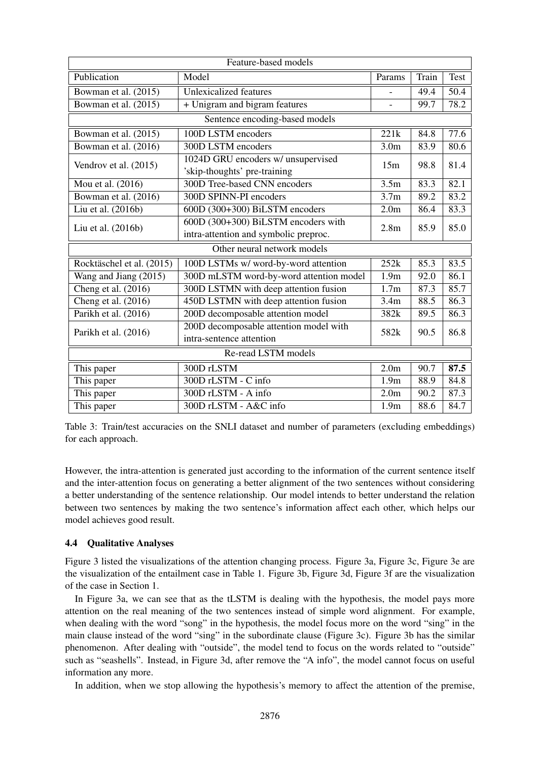| Feature-based models           |                                                                              |                  |       |      |  |  |  |  |
|--------------------------------|------------------------------------------------------------------------------|------------------|-------|------|--|--|--|--|
| Publication                    | Model                                                                        | Params           | Train | Test |  |  |  |  |
| Bowman et al. (2015)           | <b>Unlexicalized features</b>                                                |                  | 49.4  | 50.4 |  |  |  |  |
| Bowman et al. (2015)           | + Unigram and bigram features                                                |                  | 99.7  | 78.2 |  |  |  |  |
| Sentence encoding-based models |                                                                              |                  |       |      |  |  |  |  |
| Bowman et al. (2015)           | 100D LSTM encoders                                                           | 221k             | 84.8  | 77.6 |  |  |  |  |
| Bowman et al. (2016)           | 300D LSTM encoders                                                           | 3.0 <sub>m</sub> | 83.9  | 80.6 |  |  |  |  |
| Vendrov et al. (2015)          | 1024D GRU encoders w/ unsupervised<br>'skip-thoughts' pre-training           | 15m              | 98.8  | 81.4 |  |  |  |  |
| Mou et al. (2016)              | 300D Tree-based CNN encoders                                                 | 3.5 <sub>m</sub> | 83.3  | 82.1 |  |  |  |  |
| Bowman et al. (2016)           | 300D SPINN-PI encoders                                                       | 3.7 <sub>m</sub> | 89.2  | 83.2 |  |  |  |  |
| Liu et al. (2016b)             | 600D (300+300) BiLSTM encoders                                               | 2.0 <sub>m</sub> | 86.4  | 83.3 |  |  |  |  |
| Liu et al. (2016b)             | 600D (300+300) BiLSTM encoders with<br>intra-attention and symbolic preproc. | 2.8 <sub>m</sub> | 85.9  | 85.0 |  |  |  |  |
| Other neural network models    |                                                                              |                  |       |      |  |  |  |  |
| Rocktäschel et al. (2015)      | 100D LSTMs w/ word-by-word attention                                         | 252k             | 85.3  | 83.5 |  |  |  |  |
| Wang and Jiang (2015)          | 300D mLSTM word-by-word attention model                                      | 1.9 <sub>m</sub> | 92.0  | 86.1 |  |  |  |  |
| Cheng et al. (2016)            | 300D LSTMN with deep attention fusion                                        | 1.7 <sub>m</sub> | 87.3  | 85.7 |  |  |  |  |
| Cheng et al. (2016)            | 450D LSTMN with deep attention fusion                                        | 3.4m             | 88.5  | 86.3 |  |  |  |  |
| Parikh et al. (2016)           | 200D decomposable attention model                                            | 382k             | 89.5  | 86.3 |  |  |  |  |
| Parikh et al. (2016)           | 200D decomposable attention model with<br>intra-sentence attention           | 582k             | 90.5  | 86.8 |  |  |  |  |
| Re-read LSTM models            |                                                                              |                  |       |      |  |  |  |  |
| This paper                     | 300D rLSTM                                                                   | 2.0 <sub>m</sub> | 90.7  | 87.5 |  |  |  |  |
| This paper                     | 300D rLSTM - C info                                                          | 1.9 <sub>m</sub> | 88.9  | 84.8 |  |  |  |  |
| This paper                     | 300D rLSTM - A info                                                          | 2.0 <sub>m</sub> | 90.2  | 87.3 |  |  |  |  |
| This paper                     | 300D rLSTM - A&C info                                                        | 1.9 <sub>m</sub> | 88.6  | 84.7 |  |  |  |  |

Table 3: Train/test accuracies on the SNLI dataset and number of parameters (excluding embeddings) for each approach.

However, the intra-attention is generated just according to the information of the current sentence itself and the inter-attention focus on generating a better alignment of the two sentences without considering a better understanding of the sentence relationship. Our model intends to better understand the relation between two sentences by making the two sentence's information affect each other, which helps our model achieves good result.

# 4.4 Qualitative Analyses

Figure 3 listed the visualizations of the attention changing process. Figure 3a, Figure 3c, Figure 3e are the visualization of the entailment case in Table 1. Figure 3b, Figure 3d, Figure 3f are the visualization of the case in Section 1.

In Figure 3a, we can see that as the tLSTM is dealing with the hypothesis, the model pays more attention on the real meaning of the two sentences instead of simple word alignment. For example, when dealing with the word "song" in the hypothesis, the model focus more on the word "sing" in the main clause instead of the word "sing" in the subordinate clause (Figure 3c). Figure 3b has the similar phenomenon. After dealing with "outside", the model tend to focus on the words related to "outside" such as "seashells". Instead, in Figure 3d, after remove the "A info", the model cannot focus on useful information any more.

In addition, when we stop allowing the hypothesis's memory to affect the attention of the premise,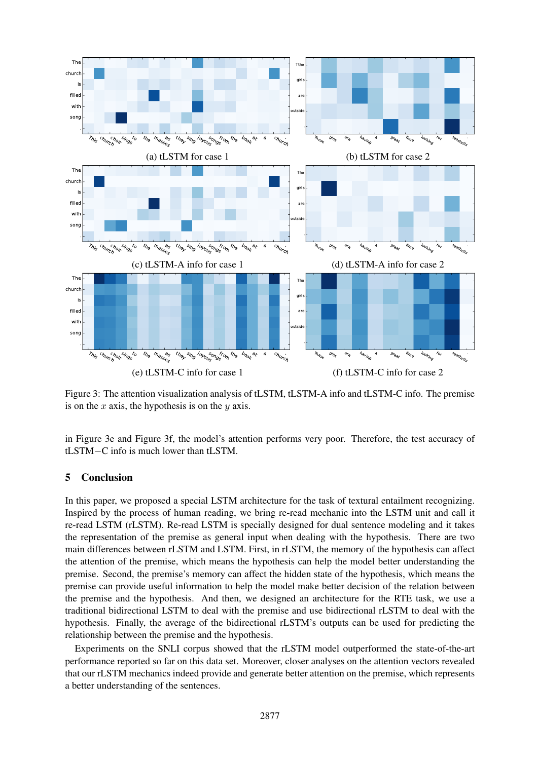

Figure 3: The attention visualization analysis of tLSTM, tLSTM-A info and tLSTM-C info. The premise is on the  $x$  axis, the hypothesis is on the  $y$  axis.

in Figure 3e and Figure 3f, the model's attention performs very poor. Therefore, the test accuracy of tLSTM−C info is much lower than tLSTM.

# 5 Conclusion

In this paper, we proposed a special LSTM architecture for the task of textural entailment recognizing. Inspired by the process of human reading, we bring re-read mechanic into the LSTM unit and call it re-read LSTM (rLSTM). Re-read LSTM is specially designed for dual sentence modeling and it takes the representation of the premise as general input when dealing with the hypothesis. There are two main differences between rLSTM and LSTM. First, in rLSTM, the memory of the hypothesis can affect the attention of the premise, which means the hypothesis can help the model better understanding the premise. Second, the premise's memory can affect the hidden state of the hypothesis, which means the premise can provide useful information to help the model make better decision of the relation between the premise and the hypothesis. And then, we designed an architecture for the RTE task, we use a traditional bidirectional LSTM to deal with the premise and use bidirectional rLSTM to deal with the hypothesis. Finally, the average of the bidirectional rLSTM's outputs can be used for predicting the relationship between the premise and the hypothesis.

Experiments on the SNLI corpus showed that the rLSTM model outperformed the state-of-the-art performance reported so far on this data set. Moreover, closer analyses on the attention vectors revealed that our rLSTM mechanics indeed provide and generate better attention on the premise, which represents a better understanding of the sentences.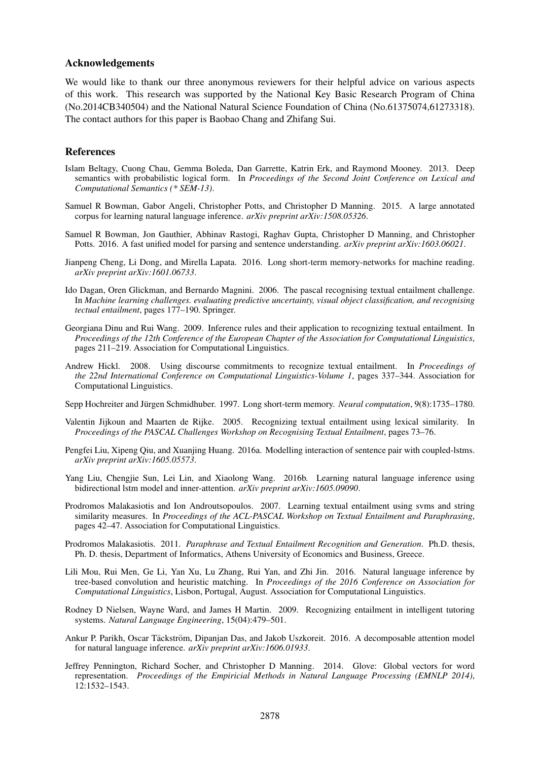#### Acknowledgements

We would like to thank our three anonymous reviewers for their helpful advice on various aspects of this work. This research was supported by the National Key Basic Research Program of China (No.2014CB340504) and the National Natural Science Foundation of China (No.61375074,61273318). The contact authors for this paper is Baobao Chang and Zhifang Sui.

#### References

- Islam Beltagy, Cuong Chau, Gemma Boleda, Dan Garrette, Katrin Erk, and Raymond Mooney. 2013. Deep semantics with probabilistic logical form. In *Proceedings of the Second Joint Conference on Lexical and Computational Semantics (\* SEM-13)*.
- Samuel R Bowman, Gabor Angeli, Christopher Potts, and Christopher D Manning. 2015. A large annotated corpus for learning natural language inference. *arXiv preprint arXiv:1508.05326*.
- Samuel R Bowman, Jon Gauthier, Abhinav Rastogi, Raghav Gupta, Christopher D Manning, and Christopher Potts. 2016. A fast unified model for parsing and sentence understanding. *arXiv preprint arXiv:1603.06021*.
- Jianpeng Cheng, Li Dong, and Mirella Lapata. 2016. Long short-term memory-networks for machine reading. *arXiv preprint arXiv:1601.06733*.
- Ido Dagan, Oren Glickman, and Bernardo Magnini. 2006. The pascal recognising textual entailment challenge. In *Machine learning challenges. evaluating predictive uncertainty, visual object classification, and recognising tectual entailment*, pages 177–190. Springer.
- Georgiana Dinu and Rui Wang. 2009. Inference rules and their application to recognizing textual entailment. In *Proceedings of the 12th Conference of the European Chapter of the Association for Computational Linguistics*, pages 211–219. Association for Computational Linguistics.
- Andrew Hickl. 2008. Using discourse commitments to recognize textual entailment. In *Proceedings of the 22nd International Conference on Computational Linguistics-Volume 1*, pages 337–344. Association for Computational Linguistics.
- Sepp Hochreiter and Jürgen Schmidhuber. 1997. Long short-term memory. *Neural computation*, 9(8):1735–1780.
- Valentin Jijkoun and Maarten de Rijke. 2005. Recognizing textual entailment using lexical similarity. In *Proceedings of the PASCAL Challenges Workshop on Recognising Textual Entailment*, pages 73–76.
- Pengfei Liu, Xipeng Qiu, and Xuanjing Huang. 2016a. Modelling interaction of sentence pair with coupled-lstms. *arXiv preprint arXiv:1605.05573*.
- Yang Liu, Chengjie Sun, Lei Lin, and Xiaolong Wang. 2016b. Learning natural language inference using bidirectional lstm model and inner-attention. *arXiv preprint arXiv:1605.09090*.
- Prodromos Malakasiotis and Ion Androutsopoulos. 2007. Learning textual entailment using svms and string similarity measures. In *Proceedings of the ACL-PASCAL Workshop on Textual Entailment and Paraphrasing*, pages 42–47. Association for Computational Linguistics.
- Prodromos Malakasiotis. 2011. *Paraphrase and Textual Entailment Recognition and Generation*. Ph.D. thesis, Ph. D. thesis, Department of Informatics, Athens University of Economics and Business, Greece.
- Lili Mou, Rui Men, Ge Li, Yan Xu, Lu Zhang, Rui Yan, and Zhi Jin. 2016. Natural language inference by tree-based convolution and heuristic matching. In *Proceedings of the 2016 Conference on Association for Computational Linguistics*, Lisbon, Portugal, August. Association for Computational Linguistics.
- Rodney D Nielsen, Wayne Ward, and James H Martin. 2009. Recognizing entailment in intelligent tutoring systems. *Natural Language Engineering*, 15(04):479–501.
- Ankur P. Parikh, Oscar Täckström, Dipanjan Das, and Jakob Uszkoreit. 2016. A decomposable attention model for natural language inference. *arXiv preprint arXiv:1606.01933*.
- Jeffrey Pennington, Richard Socher, and Christopher D Manning. 2014. Glove: Global vectors for word representation. *Proceedings of the Empiricial Methods in Natural Language Processing (EMNLP 2014)*, 12:1532–1543.